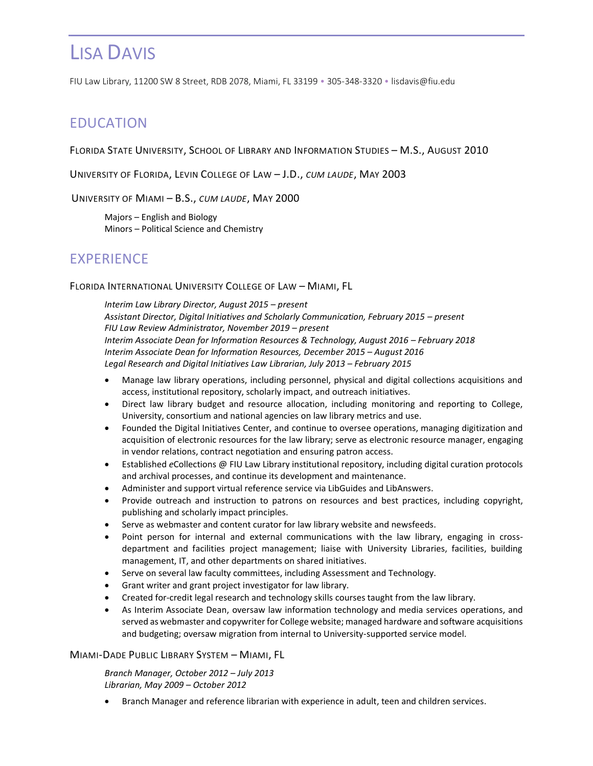FIU Law Library, 11200 SW 8 Street, RDB 2078, Miami, FL 33199 • 305-348-3320 • lisdavis@fiu.edu

## EDUCATION

FLORIDA STATE UNIVERSITY, SCHOOL OF LIBRARY AND INFORMATION STUDIES – M.S., AUGUST 2010

UNIVERSITY OF FLORIDA, LEVIN COLLEGE OF LAW – J.D., *CUM LAUDE*, MAY 2003

UNIVERSITY OF MIAMI – B.S., *CUM LAUDE*, MAY 2000

Majors – English and Biology Minors – Political Science and Chemistry

## EXPERIENCE

### FLORIDA INTERNATIONAL UNIVERSITY COLLEGE OF LAW – MIAMI, FL

*Interim Law Library Director, August 2015 – present* Assistant Director, Digital Initiatives and Scholarly Communication, February 2015 – present *FIU Law Review Administrator, November 2019 – present Interim Associate Dean for Information Resources & Technology, August 2016 – February 2018 Interim Associate Dean for Information Resources, December 2015 – August 2016 Legal Research and Digital Initiatives Law Librarian, July 2013 – February 2015*

- Manage law library operations, including personnel, physical and digital collections acquisitions and access, institutional repository, scholarly impact, and outreach initiatives.
- Direct law library budget and resource allocation, including monitoring and reporting to College, University, consortium and national agencies on law library metrics and use.
- Founded the Digital Initiatives Center, and continue to oversee operations, managing digitization and acquisition of electronic resources for the law library; serve as electronic resource manager, engaging in vendor relations, contract negotiation and ensuring patron access.
- Established *e*Collections @ FIU Law Library institutional repository, including digital curation protocols and archival processes, and continue its development and maintenance.
- Administer and support virtual reference service via LibGuides and LibAnswers.
- Provide outreach and instruction to patrons on resources and best practices, including copyright, publishing and scholarly impact principles.
- Serve as webmaster and content curator for law library website and newsfeeds.
- Point person for internal and external communications with the law library, engaging in crossdepartment and facilities project management; liaise with University Libraries, facilities, building management, IT, and other departments on shared initiatives.
- Serve on several law faculty committees, including Assessment and Technology.
- Grant writer and grant project investigator for law library.
- Created for-credit legal research and technology skills courses taught from the law library.
- As Interim Associate Dean, oversaw law information technology and media services operations, and served as webmaster and copywriter for College website; managed hardware and software acquisitions and budgeting; oversaw migration from internal to University-supported service model.

#### MIAMI-DADE PUBLIC LIBRARY SYSTEM – MIAMI, FL

*Branch Manager, October 2012 – July 2013 Librarian, May 2009 – October 2012*

• Branch Manager and reference librarian with experience in adult, teen and children services.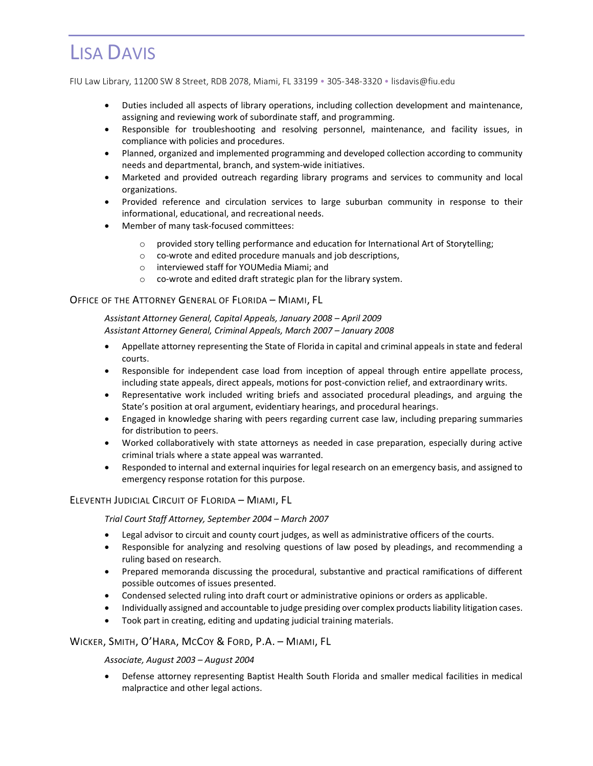FIU Law Library, 11200 SW 8 Street, RDB 2078, Miami, FL 33199 • 305-348-3320 • lisdavis@fiu.edu

- Duties included all aspects of library operations, including collection development and maintenance, assigning and reviewing work of subordinate staff, and programming.
- Responsible for troubleshooting and resolving personnel, maintenance, and facility issues, in compliance with policies and procedures.
- Planned, organized and implemented programming and developed collection according to community needs and departmental, branch, and system-wide initiatives.
- Marketed and provided outreach regarding library programs and services to community and local organizations.
- Provided reference and circulation services to large suburban community in response to their informational, educational, and recreational needs.
- Member of many task-focused committees:
	- o provided story telling performance and education for International Art of Storytelling;
	- o co-wrote and edited procedure manuals and job descriptions,
	- o interviewed staff for YOUMedia Miami; and
	- o co-wrote and edited draft strategic plan for the library system.

### OFFICE OF THE ATTORNEY GENERAL OF FLORIDA – MIAMI, FL

*Assistant Attorney General, Capital Appeals, January 2008 – April 2009 Assistant Attorney General, Criminal Appeals, March 2007 – January 2008*

- Appellate attorney representing the State of Florida in capital and criminal appeals in state and federal courts.
- Responsible for independent case load from inception of appeal through entire appellate process, including state appeals, direct appeals, motions for post-conviction relief, and extraordinary writs.
- Representative work included writing briefs and associated procedural pleadings, and arguing the State's position at oral argument, evidentiary hearings, and procedural hearings.
- Engaged in knowledge sharing with peers regarding current case law, including preparing summaries for distribution to peers.
- Worked collaboratively with state attorneys as needed in case preparation, especially during active criminal trials where a state appeal was warranted.
- Responded to internal and external inquiries for legal research on an emergency basis, and assigned to emergency response rotation for this purpose.

## ELEVENTH JUDICIAL CIRCUIT OF FLORIDA – MIAMI, FL

*Trial Court Staff Attorney, September 2004 – March 2007*

- Legal advisor to circuit and county court judges, as well as administrative officers of the courts.
- Responsible for analyzing and resolving questions of law posed by pleadings, and recommending a ruling based on research.
- Prepared memoranda discussing the procedural, substantive and practical ramifications of different possible outcomes of issues presented.
- Condensed selected ruling into draft court or administrative opinions or orders as applicable.
- Individually assigned and accountable to judge presiding over complex products liability litigation cases.
- Took part in creating, editing and updating judicial training materials.

## WICKER, SMITH, O'HARA, MCCOY & FORD, P.A. – MIAMI, FL

#### *Associate, August 2003 – August 2004*

• Defense attorney representing Baptist Health South Florida and smaller medical facilities in medical malpractice and other legal actions.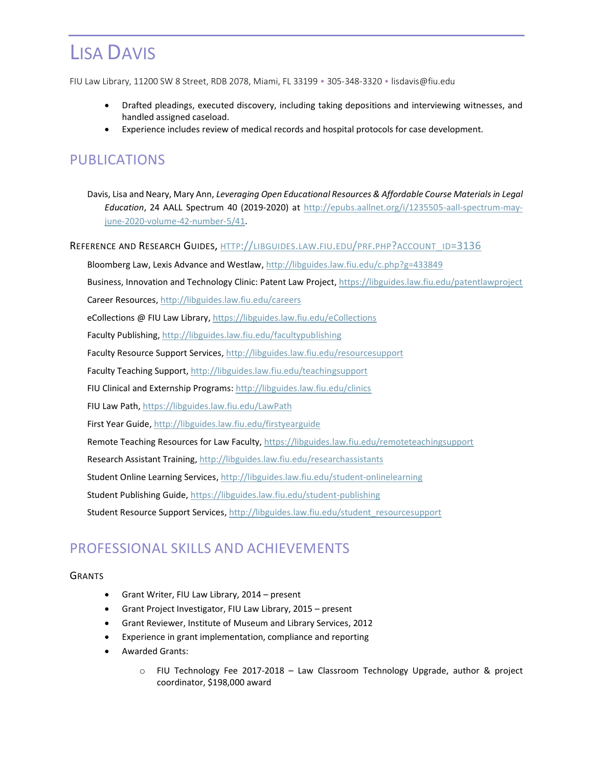FIU Law Library, 11200 SW 8 Street, RDB 2078, Miami, FL 33199 • 305-348-3320 • lisdavis@fiu.edu

- Drafted pleadings, executed discovery, including taking depositions and interviewing witnesses, and handled assigned caseload.
- Experience includes review of medical records and hospital protocols for case development.

# PUBLICATIONS

Davis, Lisa and Neary, Mary Ann, *Leveraging Open Educational Resources & Affordable Course Materials in Legal Education*, 24 AALL Spectrum 40 (2019-2020) at [http://epubs.aallnet.org/i/1235505-aall-spectrum-may](http://epubs.aallnet.org/i/1235505-aall-spectrum-may-june-2020-volume-42-number-5/41)[june-2020-volume-42-number-5/41.](http://epubs.aallnet.org/i/1235505-aall-spectrum-may-june-2020-volume-42-number-5/41)

REFERENCE AND RESEARCH GUIDES, HTTP://[LIBGUIDES](http://libguides.law.fiu.edu/prf.php?account_id=3136).LAW.FIU.EDU/PRF.PHP?ACCOUNT\_ID=3136

Bloomberg Law, Lexis Advance and Westlaw, <http://libguides.law.fiu.edu/c.php?g=433849>

Business, Innovation and Technology Clinic: Patent Law Project, <https://libguides.law.fiu.edu/patentlawproject>

Career Resources, <http://libguides.law.fiu.edu/careers>

eCollections @ FIU Law Library,<https://libguides.law.fiu.edu/eCollections>

Faculty Publishing, <http://libguides.law.fiu.edu/facultypublishing>

Faculty Resource Support Services, <http://libguides.law.fiu.edu/resourcesupport>

Faculty Teaching Support, <http://libguides.law.fiu.edu/teachingsupport>

FIU Clinical and Externship Programs[: http://libguides.law.fiu.edu/clinics](http://libguides.law.fiu.edu/clinics)

FIU Law Path[, https://libguides.law.fiu.edu/LawPath](https://libguides.law.fiu.edu/LawPath)

First Year Guide, <http://libguides.law.fiu.edu/firstyearguide>

Remote Teaching Resources for Law Faculty,<https://libguides.law.fiu.edu/remoteteachingsupport>

Research Assistant Training, <http://libguides.law.fiu.edu/researchassistants>

Student Online Learning Services, <http://libguides.law.fiu.edu/student-onlinelearning>

Student Publishing Guide,<https://libguides.law.fiu.edu/student-publishing>

Student Resource Support Services, [http://libguides.law.fiu.edu/student\\_resourcesupport](http://libguides.law.fiu.edu/student_resourcesupport)

## PROFESSIONAL SKILLS AND ACHIEVEMENTS

#### **GRANTS**

- Grant Writer, FIU Law Library, 2014 present
- Grant Project Investigator, FIU Law Library, 2015 present
- Grant Reviewer, Institute of Museum and Library Services, 2012
- Experience in grant implementation, compliance and reporting
- Awarded Grants:
	- o FIU Technology Fee 2017-2018 Law Classroom Technology Upgrade, author & project coordinator, \$198,000 award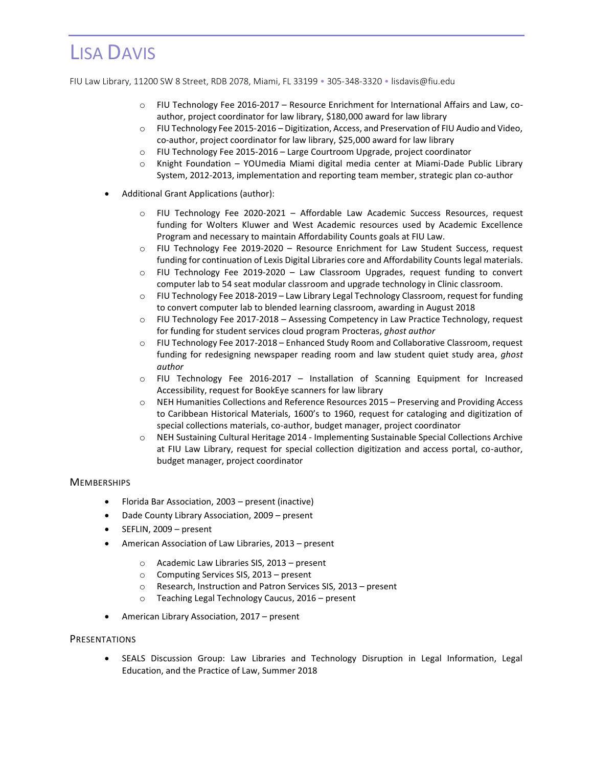FIU Law Library, 11200 SW 8 Street, RDB 2078, Miami, FL 33199 • 305-348-3320 • lisdavis@fiu.edu

- o FIU Technology Fee 2016-2017 Resource Enrichment for International Affairs and Law, coauthor, project coordinator for law library, \$180,000 award for law library
- o FIU Technology Fee 2015-2016 Digitization, Access, and Preservation of FIU Audio and Video, co-author, project coordinator for law library, \$25,000 award for law library
- o FIU Technology Fee 2015-2016 Large Courtroom Upgrade, project coordinator
- o Knight Foundation YOUmedia Miami digital media center at Miami-Dade Public Library System, 2012-2013, implementation and reporting team member, strategic plan co-author
- Additional Grant Applications (author):
	- o FIU Technology Fee 2020-2021 Affordable Law Academic Success Resources, request funding for Wolters Kluwer and West Academic resources used by Academic Excellence Program and necessary to maintain Affordability Counts goals at FIU Law.
	- o FIU Technology Fee 2019-2020 Resource Enrichment for Law Student Success, request funding for continuation of Lexis Digital Libraries core and Affordability Counts legal materials.
	- o FIU Technology Fee 2019-2020 Law Classroom Upgrades, request funding to convert computer lab to 54 seat modular classroom and upgrade technology in Clinic classroom.
	- $\circ$  FIU Technology Fee 2018-2019 Law Library Legal Technology Classroom, request for funding to convert computer lab to blended learning classroom, awarding in August 2018
	- o FIU Technology Fee 2017-2018 Assessing Competency in Law Practice Technology, request for funding for student services cloud program Procteras, *ghost author*
	- o FIU Technology Fee 2017-2018 Enhanced Study Room and Collaborative Classroom, request funding for redesigning newspaper reading room and law student quiet study area, *ghost author*
	- o FIU Technology Fee 2016-2017 Installation of Scanning Equipment for Increased Accessibility, request for BookEye scanners for law library
	- o NEH Humanities Collections and Reference Resources 2015 Preserving and Providing Access to Caribbean Historical Materials, 1600's to 1960, request for cataloging and digitization of special collections materials, co-author, budget manager, project coordinator
	- o NEH Sustaining Cultural Heritage 2014 Implementing Sustainable Special Collections Archive at FIU Law Library, request for special collection digitization and access portal, co-author, budget manager, project coordinator

#### **MEMBERSHIPS**

- Florida Bar Association, 2003 present (inactive)
- Dade County Library Association, 2009 present
- SEFLIN, 2009 present
- American Association of Law Libraries, 2013 present
	- o Academic Law Libraries SIS, 2013 present
	- o Computing Services SIS, 2013 present
	- o Research, Instruction and Patron Services SIS, 2013 present
	- o Teaching Legal Technology Caucus, 2016 present
- American Library Association, 2017 present

#### **PRESENTATIONS**

• SEALS Discussion Group: Law Libraries and Technology Disruption in Legal Information, Legal Education, and the Practice of Law, Summer 2018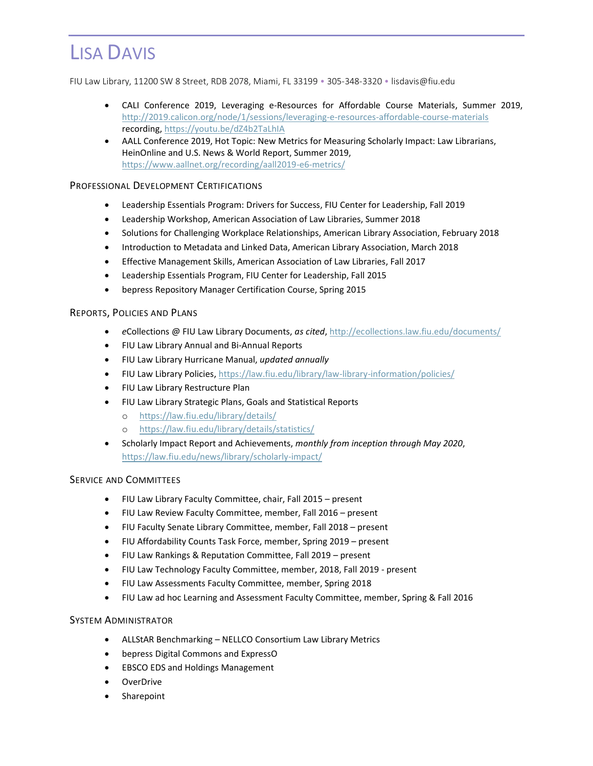FIU Law Library, 11200 SW 8 Street, RDB 2078, Miami, FL 33199 • 305-348-3320 • lisdavis@fiu.edu

- CALI Conference 2019, Leveraging e-Resources for Affordable Course Materials, Summer 2019, <http://2019.calicon.org/node/1/sessions/leveraging-e-resources-affordable-course-materials> recording[, https://youtu.be/dZ4b2TaLhIA](https://youtu.be/dZ4b2TaLhIA)
- AALL Conference 2019, Hot Topic: New Metrics for Measuring Scholarly Impact: Law Librarians, HeinOnline and U.S. News & World Report, Summer 2019, <https://www.aallnet.org/recording/aall2019-e6-metrics/>

## PROFESSIONAL DEVELOPMENT CERTIFICATIONS

- Leadership Essentials Program: Drivers for Success, FIU Center for Leadership, Fall 2019
- Leadership Workshop, American Association of Law Libraries, Summer 2018
- Solutions for Challenging Workplace Relationships, American Library Association, February 2018
- Introduction to Metadata and Linked Data, American Library Association, March 2018
- Effective Management Skills, American Association of Law Libraries, Fall 2017
- Leadership Essentials Program, FIU Center for Leadership, Fall 2015
- bepress Repository Manager Certification Course, Spring 2015

### REPORTS, POLICIES AND PLANS

- *e*Collections @ FIU Law Library Documents, *as cited*, <http://ecollections.law.fiu.edu/documents/>
- FIU Law Library Annual and Bi-Annual Reports
- FIU Law Library Hurricane Manual, *updated annually*
- FIU Law Library Policies[, https://law.fiu.edu/library/law-library-information/policies/](https://law.fiu.edu/library/law-library-information/policies/)
- FIU Law Library Restructure Plan
- FIU Law Library Strategic Plans, Goals and Statistical Reports
	- o <https://law.fiu.edu/library/details/>
	- o <https://law.fiu.edu/library/details/statistics/>
- Scholarly Impact Report and Achievements, *monthly from inception through May 2020*, <https://law.fiu.edu/news/library/scholarly-impact/>

### SERVICE AND COMMITTEES

- FIU Law Library Faculty Committee, chair, Fall 2015 present
- FIU Law Review Faculty Committee, member, Fall 2016 present
- FIU Faculty Senate Library Committee, member, Fall 2018 present
- FIU Affordability Counts Task Force, member, Spring 2019 present
- FIU Law Rankings & Reputation Committee, Fall 2019 present
- FIU Law Technology Faculty Committee, member, 2018, Fall 2019 present
- FIU Law Assessments Faculty Committee, member, Spring 2018
- FIU Law ad hoc Learning and Assessment Faculty Committee, member, Spring & Fall 2016

#### SYSTEM ADMINISTRATOR

- ALLStAR Benchmarking NELLCO Consortium Law Library Metrics
- bepress Digital Commons and ExpressO
- EBSCO EDS and Holdings Management
- OverDrive
- Sharepoint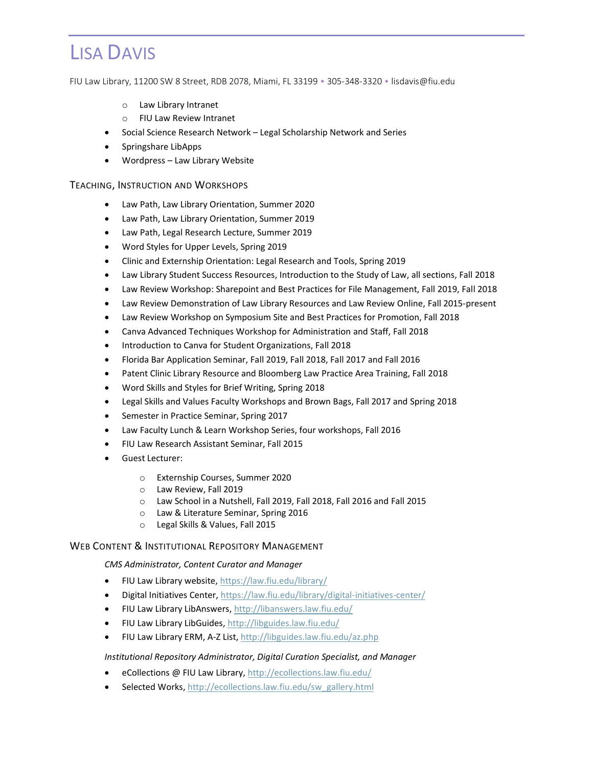FIU Law Library, 11200 SW 8 Street, RDB 2078, Miami, FL 33199 • 305-348-3320 • lisdavis@fiu.edu

- o Law Library Intranet
- o FIU Law Review Intranet
- Social Science Research Network Legal Scholarship Network and Series
- Springshare LibApps
- Wordpress Law Library Website

#### TEACHING, INSTRUCTION AND WORKSHOPS

- Law Path, Law Library Orientation, Summer 2020
- Law Path, Law Library Orientation, Summer 2019
- Law Path, Legal Research Lecture, Summer 2019
- Word Styles for Upper Levels, Spring 2019
- Clinic and Externship Orientation: Legal Research and Tools, Spring 2019
- Law Library Student Success Resources, Introduction to the Study of Law, all sections, Fall 2018
- Law Review Workshop: Sharepoint and Best Practices for File Management, Fall 2019, Fall 2018
- Law Review Demonstration of Law Library Resources and Law Review Online, Fall 2015-present
- Law Review Workshop on Symposium Site and Best Practices for Promotion, Fall 2018
- Canva Advanced Techniques Workshop for Administration and Staff, Fall 2018
- Introduction to Canva for Student Organizations, Fall 2018
- Florida Bar Application Seminar, Fall 2019, Fall 2018, Fall 2017 and Fall 2016
- Patent Clinic Library Resource and Bloomberg Law Practice Area Training, Fall 2018
- Word Skills and Styles for Brief Writing, Spring 2018
- Legal Skills and Values Faculty Workshops and Brown Bags, Fall 2017 and Spring 2018
- Semester in Practice Seminar, Spring 2017
- Law Faculty Lunch & Learn Workshop Series, four workshops, Fall 2016
- FIU Law Research Assistant Seminar, Fall 2015
- Guest Lecturer:
	- o Externship Courses, Summer 2020
	- o Law Review, Fall 2019
	- o Law School in a Nutshell, Fall 2019, Fall 2018, Fall 2016 and Fall 2015
	- o Law & Literature Seminar, Spring 2016
	- o Legal Skills & Values, Fall 2015

#### WEB CONTENT & INSTITUTIONAL REPOSITORY MANAGEMENT

### *CMS Administrator, Content Curator and Manager*

- FIU Law Library website,<https://law.fiu.edu/library/>
- Digital Initiatives Center,<https://law.fiu.edu/library/digital-initiatives-center/>
- FIU Law Library LibAnswers[, http://libanswers.law.fiu.edu/](http://libanswers.law.fiu.edu/)
- FIU Law Library LibGuides,<http://libguides.law.fiu.edu/>
- FIU Law Library ERM, A-Z List[, http://libguides.law.fiu.edu/az.php](http://libguides.law.fiu.edu/az.php)

#### *Institutional Repository Administrator, Digital Curation Specialist, and Manager*

- eCollections @ FIU Law Library,<http://ecollections.law.fiu.edu/>
- Selected Works, [http://ecollections.law.fiu.edu/sw\\_gallery.html](http://ecollections.law.fiu.edu/sw_gallery.html)